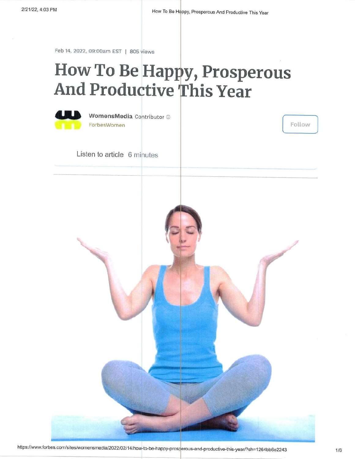Feb 14, 2022, 09:00am EST | 805 views

## How To Be Happy, Prosperous **And Productive This Year**

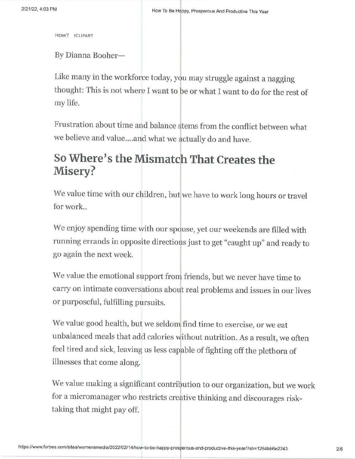How? ICLIPART

By Dianna Booher-

Like many in the workforce today, you may struggle against a nagging thought: This is not where I want to be or what I want to do for the rest of my life.

Frustration about time and balance stems from the conflict between what we believe and value....and what we actually do and have.

## So Where's the Mismatch That Creates the Misery?

We value time with our children, but we have to work long hours or travel for work..

We enjoy spending time with our spouse, yet our weekends are filled with running errands in opposite directions just to get "caught up" and ready to go again the next week.

We value the emotional support from friends, but we never have time to carry on intimate conversations about real problems and issues in our lives or purposeful, fuifiliing p rsuits.

We value good health, but we seldom find time to exercise, or we eat unbalanced meals that add calories without nutrition. As a result, we often feel tired and sick, leaving us less capable of fighting off the plethora of illnesses that come along.

We value making a significant contribution to our organization, but we work for a micromanager who restricts creative thinking and discourages risktaking that might pay off.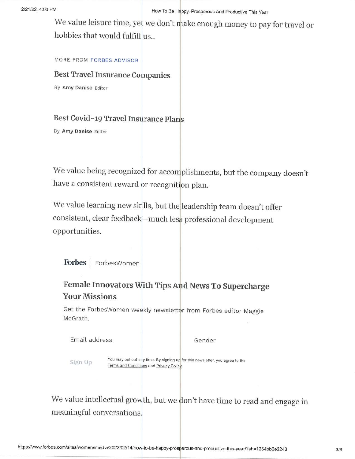We value leisure time, yet we don't make enough money to pay for travel or hobbies that would fulfill  $\operatorname{us.}.$ 

MORE FROM FORBES ADVISOR

Best Travel Insurance Co

By Amy Danise Editor

Best Covid-19 Travel In

By Amy Danise Editor

We value being recognized for accomplishments, but the company doesn't have a consistent reward or recognition plan.

We value learning new skills, but the leadership team doesn't offer consistent, clear feedback—much less professional development opportunities.

Forbes | ForbesWomen

## Female Innovators With Tips And News To Supercharge Your Missions

Get the ForbesWomen weekly newslette<mark>r from Forbes editor Maggie</mark> McGrath.

EmaiL address

Gender

Sign Up

You may opt out any time. By signing up for this newsletter, you agree to the Terms and Conditions and Privacy Policy

We value intellectual growth, but we don't have time to read and engage in meaningfui conversations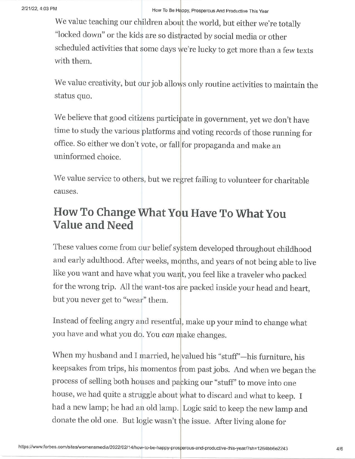We value teaching our children about the world, but either we're totally "locked down" or the kids are so distracted by social media or other scheduled activities that some days we're lucky to get more than a few texts with them.

We value creativity, but o<mark>ur job allow</mark>s only routine activities to maintain the status quo.

We believe that good citizens participate in government, yet we don't have time to study the various platforms and voting records of those running for office. So either we don't vote, or fall for propaganda and make an uninformed choice.

We value service to others, but we regret failing to volunteer for charitable causes.

## How To Change What You Have To What You Value and Need

These values come from our belief system developed throughout childhood and early adulthood. After weeks, months, and years of not being able to live like you want and have what you want, you feel like a traveler who packed for the wrong trip. All the want-tos are packed inside your head and heart, but you never get to "wea " them.

Instead of feeling angry and resentful, make up your mind to change what you have and what you do. You can make changes.

When my husband and I married, he valued his "stuff"—his furniture, his keepsakes from trips, his momentos from past jobs. And when we began the process of selling both houses and packing our "stuff" to move into one house, we had quite a struggle about what to discard and what to keep. I had a new lamp; he had an old lamp. Logic said to keep the new lamp and donate the old one. But logic wasn't the issue. After living alone for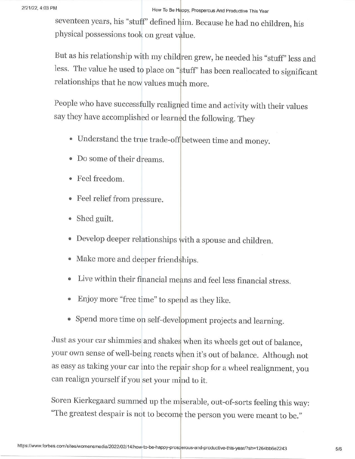seventeen years, his "stuff" defined him. Because he had no children, his physical possessions took on great value.

But as his relationship with my children grew, he needed his "stuff" less and less. The value he used to place on "stuff" has been reallocated to significant relationships that he now values much more.

People who have successfully realigned time and activity with their values say they have accomplished or learned the following. They

- Understand the true trade-off between time and money.
- Do some of their dreams.
- Feel freedom.
- Feel relief from pressure.
- Shed guilt. ۰
- Develop deeper relationships with a spouse and children.
- Make more and deeper friendships.
- Live within their fi<mark>nancial me</mark>ans and feel less financial stress.
- Enjoy more "free time" to spend as they like.  $\bullet$
- Spend more time on self-devel<mark>opment projects and learning</mark>.

Just as your car shimmies and shakes when its wheels get out of balance, your own sense of well-being reacts w<mark>hen it's out of balance. Although not</mark> as easy as taking your car into the rep<mark>air shop for a wheel realignment, yo</mark>u can realign yourself if you set your mind to it.

Soren Kierkegaard summed up the miserable, out-of-sorts feeling this way: "The greatest despair is not to become the person you were meant to be."